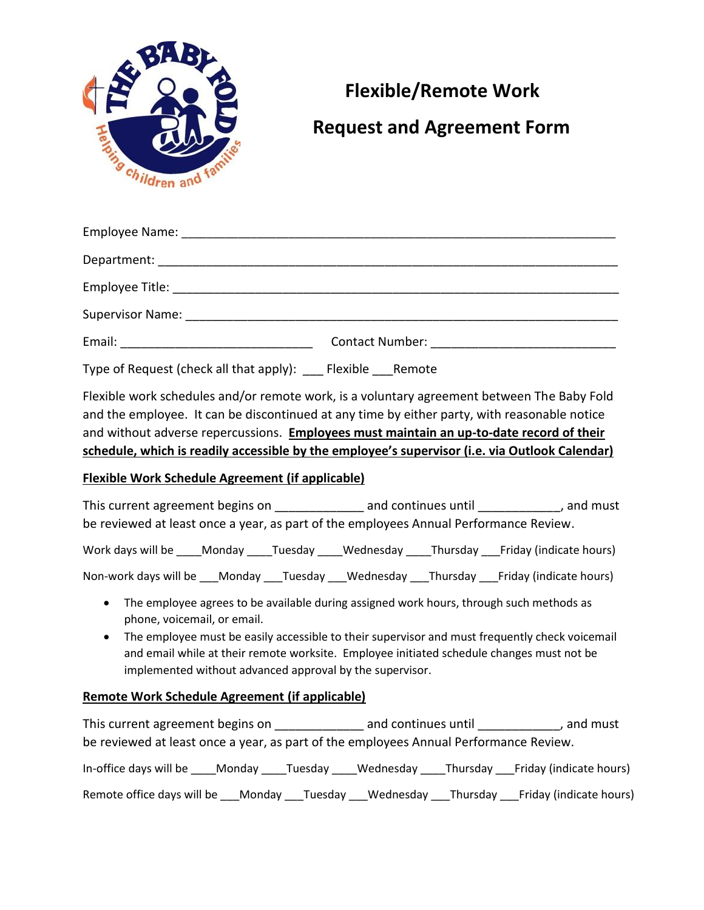

## **Flexible/Remote Work**

## **Request and Agreement Form**

Type of Request (check all that apply): Flexible Remote

Flexible work schedules and/or remote work, is a voluntary agreement between The Baby Fold and the employee. It can be discontinued at any time by either party, with reasonable notice and without adverse repercussions. **Employees must maintain an up-to-date record of their schedule, which is readily accessible by the employee's supervisor (i.e. via Outlook Calendar)**

## **Flexible Work Schedule Agreement (if applicable)**

| This current agreement begins on                                                      |        |         |           | and continues until | , and must              |  |
|---------------------------------------------------------------------------------------|--------|---------|-----------|---------------------|-------------------------|--|
| be reviewed at least once a year, as part of the employees Annual Performance Review. |        |         |           |                     |                         |  |
| Work days will be                                                                     | Monday | Tuesday | Wednesday | Thursday            | Friday (indicate hours) |  |

Non-work days will be \_\_\_Monday \_\_\_Tuesday \_\_\_Wednesday \_\_\_Thursday \_\_\_Friday (indicate hours)

- The employee agrees to be available during assigned work hours, through such methods as phone, voicemail, or email.
- The employee must be easily accessible to their supervisor and must frequently check voicemail and email while at their remote worksite. Employee initiated schedule changes must not be implemented without advanced approval by the supervisor.

## **Remote Work Schedule Agreement (if applicable)**

| This current agreement begins on                                                                          | and continues until |  | , and must |  |  |  |
|-----------------------------------------------------------------------------------------------------------|---------------------|--|------------|--|--|--|
| be reviewed at least once a year, as part of the employees Annual Performance Review.                     |                     |  |            |  |  |  |
| In-office days will be ____ Monday ____ Tuesday ____ Wednesday ____ Thursday ____ Friday (indicate hours) |                     |  |            |  |  |  |
| Remote office days will be Monday Tuesday Wednesday Thursday Friday (indicate hours)                      |                     |  |            |  |  |  |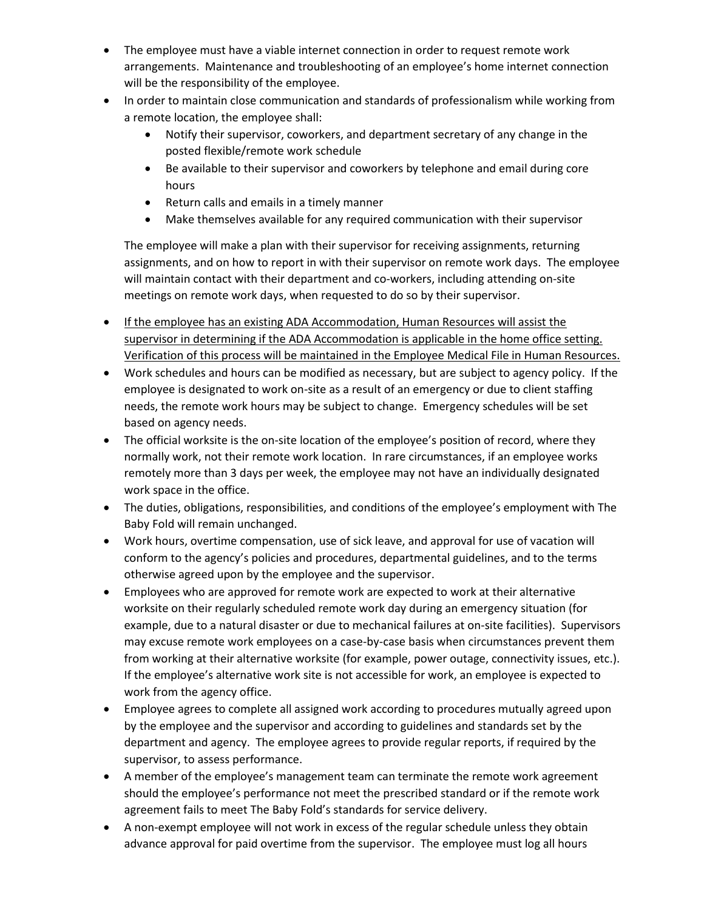- The employee must have a viable internet connection in order to request remote work arrangements. Maintenance and troubleshooting of an employee's home internet connection will be the responsibility of the employee.
- In order to maintain close communication and standards of professionalism while working from a remote location, the employee shall:
	- Notify their supervisor, coworkers, and department secretary of any change in the posted flexible/remote work schedule
	- Be available to their supervisor and coworkers by telephone and email during core hours
	- Return calls and emails in a timely manner
	- Make themselves available for any required communication with their supervisor

The employee will make a plan with their supervisor for receiving assignments, returning assignments, and on how to report in with their supervisor on remote work days. The employee will maintain contact with their department and co-workers, including attending on-site meetings on remote work days, when requested to do so by their supervisor.

- **If the employee has an existing ADA Accommodation, Human Resources will assist the** supervisor in determining if the ADA Accommodation is applicable in the home office setting. Verification of this process will be maintained in the Employee Medical File in Human Resources.
- Work schedules and hours can be modified as necessary, but are subject to agency policy. If the employee is designated to work on-site as a result of an emergency or due to client staffing needs, the remote work hours may be subject to change. Emergency schedules will be set based on agency needs.
- The official worksite is the on-site location of the employee's position of record, where they normally work, not their remote work location. In rare circumstances, if an employee works remotely more than 3 days per week, the employee may not have an individually designated work space in the office.
- The duties, obligations, responsibilities, and conditions of the employee's employment with The Baby Fold will remain unchanged.
- Work hours, overtime compensation, use of sick leave, and approval for use of vacation will conform to the agency's policies and procedures, departmental guidelines, and to the terms otherwise agreed upon by the employee and the supervisor.
- Employees who are approved for remote work are expected to work at their alternative worksite on their regularly scheduled remote work day during an emergency situation (for example, due to a natural disaster or due to mechanical failures at on-site facilities). Supervisors may excuse remote work employees on a case-by-case basis when circumstances prevent them from working at their alternative worksite (for example, power outage, connectivity issues, etc.). If the employee's alternative work site is not accessible for work, an employee is expected to work from the agency office.
- Employee agrees to complete all assigned work according to procedures mutually agreed upon by the employee and the supervisor and according to guidelines and standards set by the department and agency. The employee agrees to provide regular reports, if required by the supervisor, to assess performance.
- A member of the employee's management team can terminate the remote work agreement should the employee's performance not meet the prescribed standard or if the remote work agreement fails to meet The Baby Fold's standards for service delivery.
- A non-exempt employee will not work in excess of the regular schedule unless they obtain advance approval for paid overtime from the supervisor. The employee must log all hours